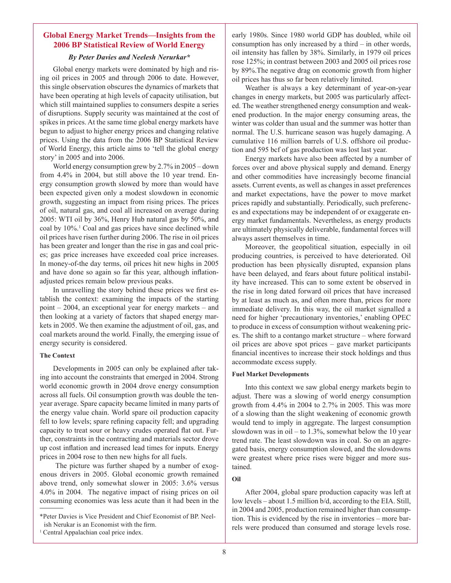# **Global Energy Market Trends—Insights from the 2006 BP Statistical Review of World Energy**

## *By Peter Davies and Neelesh Nerurkar\**

Global energy markets were dominated by high and rising oil prices in 2005 and through 2006 to date. However, this single observation obscures the dynamics of markets that have been operating at high levels of capacity utilisation, but which still maintained supplies to consumers despite a series of disruptions. Supply security was maintained at the cost of spikes in prices. At the same time global energy markets have begun to adjust to higher energy prices and changing relative prices. Using the data from the 2006 BP Statistical Review of World Energy, this article aims to 'tell the global energy story' in 2005 and into 2006.

World energy consumption grew by 2.7% in 2005 – down from 4.4% in 2004, but still above the 10 year trend. Energy consumption growth slowed by more than would have been expected given only a modest slowdown in economic growth, suggesting an impact from rising prices. The prices of oil, natural gas, and coal all increased on average during 2005: WTI oil by 36%, Henry Hub natural gas by 50%, and coal by 10%.<sup>1</sup> Coal and gas prices have since declined while oil prices have risen further during 2006. The rise in oil prices has been greater and longer than the rise in gas and coal prices; gas price increases have exceeded coal price increases. In money-of-the day terms, oil prices hit new highs in 2005 and have done so again so far this year, although inflationadjusted prices remain below previous peaks.

In unravelling the story behind these prices we first establish the context: examining the impacts of the starting point – 2004, an exceptional year for energy markets – and then looking at a variety of factors that shaped energy markets in 2005. We then examine the adjustment of oil, gas, and coal markets around the world. Finally, the emerging issue of energy security is considered.

#### **The Context**

Developments in 2005 can only be explained after taking into account the constraints that emerged in 2004. Strong world economic growth in 2004 drove energy consumption across all fuels. Oil consumption growth was double the tenyear average. Spare capacity became limited in many parts of the energy value chain. World spare oil production capacity fell to low levels; spare refining capacity fell; and upgrading capacity to treat sour or heavy crudes operated flat out. Further, constraints in the contracting and materials sector drove up cost inflation and increased lead times for inputs. Energy prices in 2004 rose to then new highs for all fuels.

 The picture was further shaped by a number of exogenous drivers in 2005. Global economic growth remained above trend, only somewhat slower in 2005: 3.6% versus 4.0% in 2004. The negative impact of rising prices on oil consuming economies was less acute than it had been in the

<sup>1</sup> Central Appalachian coal price index.

early 1980s. Since 1980 world GDP has doubled, while oil consumption has only increased by a third – in other words, oil intensity has fallen by 38%. Similarly, in 1979 oil prices rose 125%; in contrast between 2003 and 2005 oil prices rose by 89%.The negative drag on economic growth from higher oil prices has thus so far been relatively limited.

Weather is always a key determinant of year-on-year changes in energy markets, but 2005 was particularly affected. The weather strengthened energy consumption and weakened production. In the major energy consuming areas, the winter was colder than usual and the summer was hotter than normal. The U.S. hurricane season was hugely damaging. A cumulative 116 million barrels of U.S. offshore oil production and 595 bcf of gas production was lost last year.

Energy markets have also been affected by a number of forces over and above physical supply and demand. Energy and other commodities have increasingly become financial assets. Current events, as well as changes in asset preferences and market expectations, have the power to move market prices rapidly and substantially. Periodically, such preferences and expectations may be independent of or exaggerate energy market fundamentals. Nevertheless, as energy products are ultimately physically deliverable, fundamental forces will always assert themselves in time.

Moreover, the geopolitical situation, especially in oil producing countries, is perceived to have deteriorated. Oil production has been physically disrupted, expansion plans have been delayed, and fears about future political instability have increased. This can to some extent be observed in the rise in long dated forward oil prices that have increased by at least as much as, and often more than, prices for more immediate delivery. In this way, the oil market signalled a need for higher 'precautionary inventories,' enabling OPEC to produce in excess of consumption without weakening prices. The shift to a contango market structure – where forward oil prices are above spot prices – gave market participants financial incentives to increase their stock holdings and thus accommodate excess supply.

#### **Fuel Market Developments**

Into this context we saw global energy markets begin to adjust. There was a slowing of world energy consumption growth from 4.4% in 2004 to 2.7% in 2005. This was more of a slowing than the slight weakening of economic growth would tend to imply in aggregate. The largest consumption slowdown was in oil – to  $1.3\%$ , somewhat below the 10 year trend rate. The least slowdown was in coal. So on an aggregated basis, energy consumption slowed, and the slowdowns were greatest where price rises were bigger and more sustained.

**Oil**

After 2004, global spare production capacity was left at low levels – about 1.5 million b/d, according to the EIA. Still, in 2004 and 2005, production remained higher than consumption. This is evidenced by the rise in inventories – more barrels were produced than consumed and storage levels rose.

<sup>\*</sup>Peter Davies is Vice President and Chief Economist of BP. Neelish Nerukar is an Economist with the firm.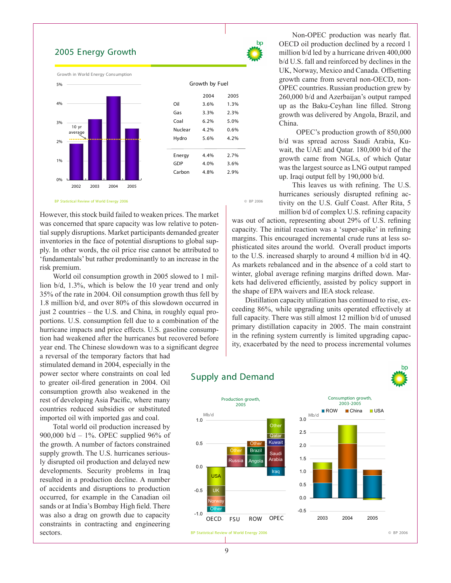# 2005 Energy Growth





#### BP Statistical Review of World Energy 2006 © BP 2006

However, this stock build failed to weaken prices. The market was concerned that spare capacity was low relative to potential supply disruptions. Market participants demanded greater inventories in the face of potential disruptions to global supply. In other words, the oil price rise cannot be attributed to 'fundamentals' but rather predominantly to an increase in the risk premium.

World oil consumption growth in 2005 slowed to 1 million b/d, 1.3%, which is below the 10 year trend and only 35% of the rate in 2004. Oil consumption growth thus fell by 1.8 million b/d, and over 80% of this slowdown occurred in just 2 countries – the U.S. and China, in roughly equal proportions. U.S. consumption fell due to a combination of the hurricane impacts and price effects. U.S. gasoline consumption had weakened after the hurricanes but recovered before year end. The Chinese slowdown was to a significant degree

a reversal of the temporary factors that had stimulated demand in 2004, especially in the power sector where constraints on coal led to greater oil-fired generation in 2004. Oil consumption growth also weakened in the rest of developing Asia Pacific, where many countries reduced subsidies or substituted imported oil with imported gas and coal.

Total world oil production increased by 900,000 b/d – 1%. OPEC supplied 96% of the growth. A number of factors constrained supply growth. The U.S. hurricanes seriously disrupted oil production and delayed new developments. Security problems in Iraq resulted in a production decline. A number of accidents and disruptions to production occurred, for example in the Canadian oil sands or at India's Bombay High field. There was also a drag on growth due to capacity constraints in contracting and engineering sectors.

Non-OPEC production was nearly flat. OECD oil production declined by a record 1 million b/d led by a hurricane driven 400,000 b/d U.S. fall and reinforced by declines in the UK, Norway, Mexico and Canada. Offsetting growth came from several non-OECD, non-OPEC countries. Russian production grew by 260,000 b/d and Azerbaijan's output ramped up as the Baku-Ceyhan line filled. Strong growth was delivered by Angola, Brazil, and China.

 OPEC's production growth of 850,000 b/d was spread across Saudi Arabia, Kuwait, the UAE and Qatar. 180,000 b/d of the growth came from NGLs, of which Qatar was the largest source as LNG output ramped up. Iraqi output fell by 190,000 b/d.

This leaves us with refining. The U.S. hurricanes seriously disrupted refining activity on the U.S. Gulf Coast. After Rita, 5 million b/d of complex U.S. refining capacity

was out of action, representing about 29% of U.S. refining capacity. The initial reaction was a 'super-spike' in refining margins. This encouraged incremental crude runs at less sophisticated sites around the world. Overall product imports to the U.S. increased sharply to around 4 million b/d in 4Q. As markets rebalanced and in the absence of a cold start to winter, global average refining margins drifted down. Markets had delivered efficiently, assisted by policy support in the shape of EPA waivers and IEA stock release.

Distillation capacity utilization has continued to rise, exceeding 86%, while upgrading units operated effectively at full capacity. There was still almost 12 million b/d of unused primary distillation capacity in 2005. The main constraint in the refining system currently is limited upgrading capacity, exacerbated by the need to process incremental volumes

hn

# Supply and Demand

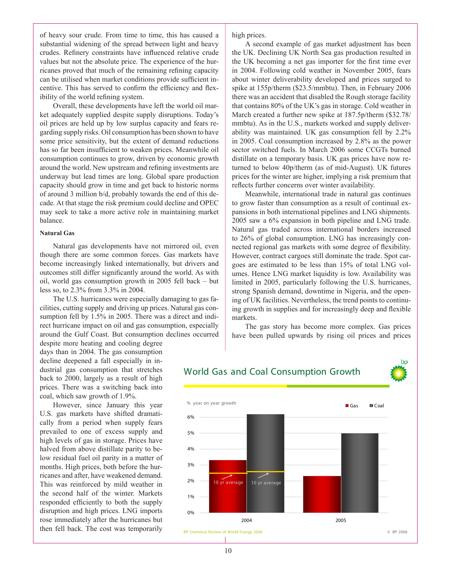of heavy sour crude. From time to time, this has caused a substantial widening of the spread between light and heavy crudes. Refinery constraints have influenced relative crude values but not the absolute price. The experience of the hurricanes proved that much of the remaining refining capacity can be utilised when market conditions provide sufficient incentive. This has served to confirm the efficiency and flexibility of the world refining system.

Overall, these developments have left the world oil market adequately supplied despite supply disruptions. Today's oil prices are held up by low surplus capacity and fears regarding supply risks. Oil consumption has been shown to have some price sensitivity, but the extent of demand reductions has so far been insufficient to weaken prices. Meanwhile oil consumption continues to grow, driven by economic growth around the world. New upstream and refining investments are underway but lead times are long. Global spare production capacity should grow in time and get back to historic norms of around 3 million b/d, probably towards the end of this decade. At that stage the risk premium could decline and OPEC may seek to take a more active role in maintaining market balance.

#### **Natural Gas**

Natural gas developments have not mirrored oil, even though there are some common forces. Gas markets have become increasingly linked internationally, but drivers and outcomes still differ significantly around the world. As with oil, world gas consumption growth in 2005 fell back – but less so, to 2.3% from 3.3% in 2004.

The U.S. hurricanes were especially damaging to gas facilities, cutting supply and driving up prices. Natural gas consumption fell by 1.5% in 2005. There was a direct and indirect hurricane impact on oil and gas consumption, especially around the Gulf Coast. But consumption declines occurred

despite more heating and cooling degree days than in 2004. The gas consumption decline deepened a fall especially in industrial gas consumption that stretches back to 2000, largely as a result of high prices. There was a switching back into coal, which saw growth of 1.9%.

However, since January this year U.S. gas markets have shifted dramatically from a period when supply fears prevailed to one of excess supply and high levels of gas in storage. Prices have halved from above distillate parity to below residual fuel oil parity in a matter of months. High prices, both before the hurricanes and after, have weakened demand. This was reinforced by mild weather in the second half of the winter. Markets responded efficiently to both the supply disruption and high prices. LNG imports rose immediately after the hurricanes but then fell back. The cost was temporarily

high prices.

A second example of gas market adjustment has been the UK. Declining UK North Sea gas production resulted in the UK becoming a net gas importer for the first time ever in 2004. Following cold weather in November 2005, fears about winter deliverability developed and prices surged to spike at 155p/therm (\$23.5/mmbtu). Then, in February 2006 there was an accident that disabled the Rough storage facility that contains 80% of the UK's gas in storage. Cold weather in March created a further new spike at 187.5p/therm (\$32.78/ mmbtu). As in the U.S., markets worked and supply deliverability was maintained. UK gas consumption fell by 2.2% in 2005. Coal consumption increased by 2.8% as the power sector switched fuels. In March 2006 some CCGTs burned distillate on a temporary basis. UK gas prices have now returned to below 40p/therm (as of mid-August). UK futures prices for the winter are higher, implying a risk premium that reflects further concerns over winter availability.

Meanwhile, international trade in natural gas continues to grow faster than consumption as a result of continual expansions in both international pipelines and LNG shipments. 2005 saw a 6% expansion in both pipeline and LNG trade. Natural gas traded across international borders increased to 26% of global consumption. LNG has increasingly connected regional gas markets with some degree of flexibility. However, contract cargoes still dominate the trade. Spot cargoes are estimated to be less than 15% of total LNG volumes. Hence LNG market liquidity is low. Availability was limited in 2005, particularly following the U.S. hurricanes, strong Spanish demand, downtime in Nigeria, and the opening of UK facilities. Nevertheless, the trend points to continuing growth in supplies and for increasingly deep and flexible markets.

The gas story has become more complex. Gas prices have been pulled upwards by rising oil prices and prices